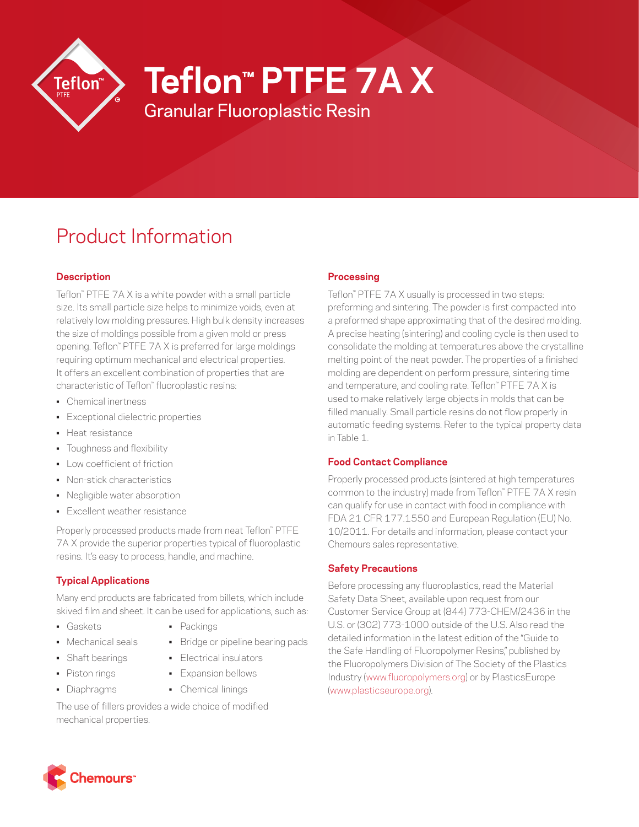

**Teflon™ PTFE 7A X**

Granular Fluoroplastic Resin

# Product Information

# **Description**

Teflon™ PTFE 7A X is a white powder with a small particle size. Its small particle size helps to minimize voids, even at relatively low molding pressures. High bulk density increases the size of moldings possible from a given mold or press opening. Teflon™ PTFE 7A X is preferred for large moldings requiring optimum mechanical and electrical properties. It offers an excellent combination of properties that are characteristic of Teflon™ fluoroplastic resins:

- Chemical inertness
- Exceptional dielectric properties
- Heat resistance
- Toughness and flexibility
- Low coefficient of friction
- Non-stick characteristics
- Negligible water absorption
- Excellent weather resistance

Properly processed products made from neat Teflon™ PTFE 7A X provide the superior properties typical of fluoroplastic resins. It's easy to process, handle, and machine.

## **Typical Applications**

Many end products are fabricated from billets, which include skived film and sheet. It can be used for applications, such as:

- Gaskets Packings
- Mechanical seals Bridge or pipeline bearing pads
- 
- -
- Shaft bearings Electrical insulators
- Piston rings Expansion bellows
	-
- Diaphragms Chemical linings

The use of fillers provides a wide choice of modified mechanical properties.

## **Processing**

Teflon™ PTFE 7A X usually is processed in two steps: preforming and sintering. The powder is first compacted into a preformed shape approximating that of the desired molding. A precise heating (sintering) and cooling cycle is then used to consolidate the molding at temperatures above the crystalline melting point of the neat powder. The properties of a finished molding are dependent on perform pressure, sintering time and temperature, and cooling rate. Teflon™ PTFE 7A X is used to make relatively large objects in molds that can be filled manually. Small particle resins do not flow properly in automatic feeding systems. Refer to the typical property data in Table 1.

## **Food Contact Compliance**

Properly processed products (sintered at high temperatures common to the industry) made from Teflon™ PTFE 7A X resin can qualify for use in contact with food in compliance with FDA 21 CFR 177.1550 and European Regulation (EU) No. 10/2011. For details and information, please contact your Chemours sales representative.

## **Safety Precautions**

Before processing any fluoroplastics, read the Material Safety Data Sheet, available upon request from our Customer Service Group at (844) 773-CHEM/2436 in the U.S. or (302) 773-1000 outside of the U.S. Also read the detailed information in the latest edition of the "Guide to the Safe Handling of Fluoropolymer Resins," published by the Fluoropolymers Division of The Society of the Plastics Industry ([www.fluoropolymers.org](http://www.fluoropolymers.org)) or by PlasticsEurope [\(www.plasticseurope.org](http://www.plasticseurope.org)).